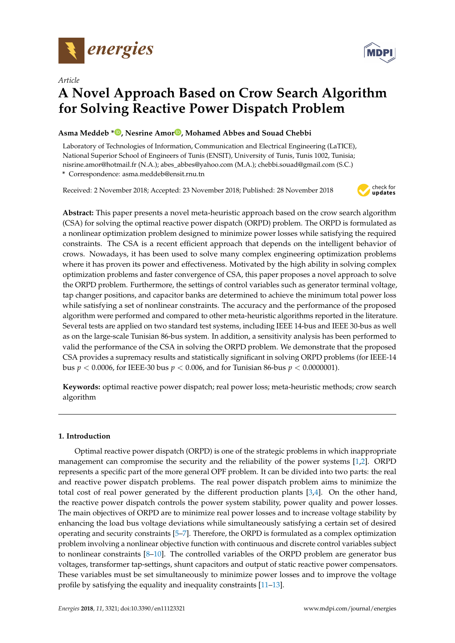



# **A Novel Approach Based on Crow Search Algorithm for Solving Reactive Power Dispatch Problem**

# **Asma Meddeb \* [,](https://orcid.org/0000-0002-1754-8350) Nesrine Amo[r](https://orcid.org/0000-0001-7320-0036) , Mohamed Abbes and Souad Chebbi**

Laboratory of Technologies of Information, Communication and Electrical Engineering (LaTICE), National Superior School of Engineers of Tunis (ENSIT), University of Tunis, Tunis 1002, Tunisia; nisrine.amor@hotmail.fr (N.A.); abes\_abbes@yahoo.com (M.A.); chebbi.souad@gmail.com (S.C.) **\*** Correspondence: asma.meddeb@ensit.rnu.tn

Received: 2 November 2018; Accepted: 23 November 2018; Published: 28 November 2018



**Abstract:** This paper presents a novel meta-heuristic approach based on the crow search algorithm (CSA) for solving the optimal reactive power dispatch (ORPD) problem. The ORPD is formulated as a nonlinear optimization problem designed to minimize power losses while satisfying the required constraints. The CSA is a recent efficient approach that depends on the intelligent behavior of crows. Nowadays, it has been used to solve many complex engineering optimization problems where it has proven its power and effectiveness. Motivated by the high ability in solving complex optimization problems and faster convergence of CSA, this paper proposes a novel approach to solve the ORPD problem. Furthermore, the settings of control variables such as generator terminal voltage, tap changer positions, and capacitor banks are determined to achieve the minimum total power loss while satisfying a set of nonlinear constraints. The accuracy and the performance of the proposed algorithm were performed and compared to other meta-heuristic algorithms reported in the literature. Several tests are applied on two standard test systems, including IEEE 14-bus and IEEE 30-bus as well as on the large-scale Tunisian 86-bus system. In addition, a sensitivity analysis has been performed to valid the performance of the CSA in solving the ORPD problem. We demonstrate that the proposed CSA provides a supremacy results and statistically significant in solving ORPD problems (for IEEE-14 bus *p* < 0.0006, for IEEE-30 bus *p* < 0.006, and for Tunisian 86-bus *p* < 0.0000001).

**Keywords:** optimal reactive power dispatch; real power loss; meta-heuristic methods; crow search algorithm

# **1. Introduction**

Optimal reactive power dispatch (ORPD) is one of the strategic problems in which inappropriate management can compromise the security and the reliability of the power systems [\[1,](#page-13-0)[2\]](#page-13-1). ORPD represents a specific part of the more general OPF problem. It can be divided into two parts: the real and reactive power dispatch problems. The real power dispatch problem aims to minimize the total cost of real power generated by the different production plants [\[3,](#page-13-2)[4\]](#page-13-3). On the other hand, the reactive power dispatch controls the power system stability, power quality and power losses. The main objectives of ORPD are to minimize real power losses and to increase voltage stability by enhancing the load bus voltage deviations while simultaneously satisfying a certain set of desired operating and security constraints [\[5](#page-14-0)[–7\]](#page-14-1). Therefore, the ORPD is formulated as a complex optimization problem involving a nonlinear objective function with continuous and discrete control variables subject to nonlinear constraints  $[8-10]$  $[8-10]$ . The controlled variables of the ORPD problem are generator bus voltages, transformer tap-settings, shunt capacitors and output of static reactive power compensators. These variables must be set simultaneously to minimize power losses and to improve the voltage profile by satisfying the equality and inequality constraints [\[11](#page-14-4)[–13\]](#page-14-5).

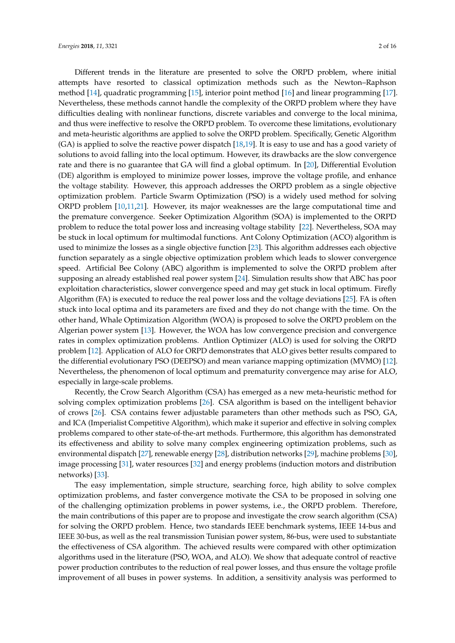Different trends in the literature are presented to solve the ORPD problem, where initial attempts have resorted to classical optimization methods such as the Newton–Raphson method [\[14\]](#page-14-6), quadratic programming [\[15\]](#page-14-7), interior point method [\[16\]](#page-14-8) and linear programming [\[17\]](#page-14-9). Nevertheless, these methods cannot handle the complexity of the ORPD problem where they have difficulties dealing with nonlinear functions, discrete variables and converge to the local minima, and thus were ineffective to resolve the ORPD problem. To overcome these limitations, evolutionary and meta-heuristic algorithms are applied to solve the ORPD problem. Specifically, Genetic Algorithm (GA) is applied to solve the reactive power dispatch [\[18](#page-14-10)[,19\]](#page-14-11). It is easy to use and has a good variety of solutions to avoid falling into the local optimum. However, its drawbacks are the slow convergence rate and there is no guarantee that GA will find a global optimum. In [\[20\]](#page-14-12), Differential Evolution (DE) algorithm is employed to minimize power losses, improve the voltage profile, and enhance the voltage stability. However, this approach addresses the ORPD problem as a single objective optimization problem. Particle Swarm Optimization (PSO) is a widely used method for solving ORPD problem [\[10,](#page-14-3)[11,](#page-14-4)[21\]](#page-14-13). However, its major weaknesses are the large computational time and the premature convergence. Seeker Optimization Algorithm (SOA) is implemented to the ORPD problem to reduce the total power loss and increasing voltage stability [\[22\]](#page-14-14). Nevertheless, SOA may be stuck in local optimum for multimodal functions. Ant Colony Optimization (ACO) algorithm is used to minimize the losses as a single objective function [\[23\]](#page-14-15). This algorithm addresses each objective function separately as a single objective optimization problem which leads to slower convergence speed. Artificial Bee Colony (ABC) algorithm is implemented to solve the ORPD problem after supposing an already established real power system [\[24\]](#page-14-16). Simulation results show that ABC has poor exploitation characteristics, slower convergence speed and may get stuck in local optimum. Firefly Algorithm (FA) is executed to reduce the real power loss and the voltage deviations [\[25\]](#page-14-17). FA is often stuck into local optima and its parameters are fixed and they do not change with the time. On the other hand, Whale Optimization Algorithm (WOA) is proposed to solve the ORPD problem on the Algerian power system [\[13\]](#page-14-5). However, the WOA has low convergence precision and convergence rates in complex optimization problems. Antlion Optimizer (ALO) is used for solving the ORPD problem [\[12\]](#page-14-18). Application of ALO for ORPD demonstrates that ALO gives better results compared to the differential evolutionary PSO (DEEPSO) and mean variance mapping optimization (MVMO) [\[12\]](#page-14-18). Nevertheless, the phenomenon of local optimum and prematurity convergence may arise for ALO, especially in large-scale problems.

Recently, the Crow Search Algorithm (CSA) has emerged as a new meta-heuristic method for solving complex optimization problems [\[26\]](#page-14-19). CSA algorithm is based on the intelligent behavior of crows [\[26\]](#page-14-19). CSA contains fewer adjustable parameters than other methods such as PSO, GA, and ICA (Imperialist Competitive Algorithm), which make it superior and effective in solving complex problems compared to other state-of-the-art methods. Furthermore, this algorithm has demonstrated its effectiveness and ability to solve many complex engineering optimization problems, such as environmental dispatch [\[27\]](#page-14-20), renewable energy [\[28\]](#page-14-21), distribution networks [\[29\]](#page-15-0), machine problems [\[30\]](#page-15-1), image processing [\[31\]](#page-15-2), water resources [\[32\]](#page-15-3) and energy problems (induction motors and distribution networks) [\[33\]](#page-15-4).

The easy implementation, simple structure, searching force, high ability to solve complex optimization problems, and faster convergence motivate the CSA to be proposed in solving one of the challenging optimization problems in power systems, i.e., the ORPD problem. Therefore, the main contributions of this paper are to propose and investigate the crow search algorithm (CSA) for solving the ORPD problem. Hence, two standards IEEE benchmark systems, IEEE 14-bus and IEEE 30-bus, as well as the real transmission Tunisian power system, 86-bus, were used to substantiate the effectiveness of CSA algorithm. The achieved results were compared with other optimization algorithms used in the literature (PSO, WOA, and ALO). We show that adequate control of reactive power production contributes to the reduction of real power losses, and thus ensure the voltage profile improvement of all buses in power systems. In addition, a sensitivity analysis was performed to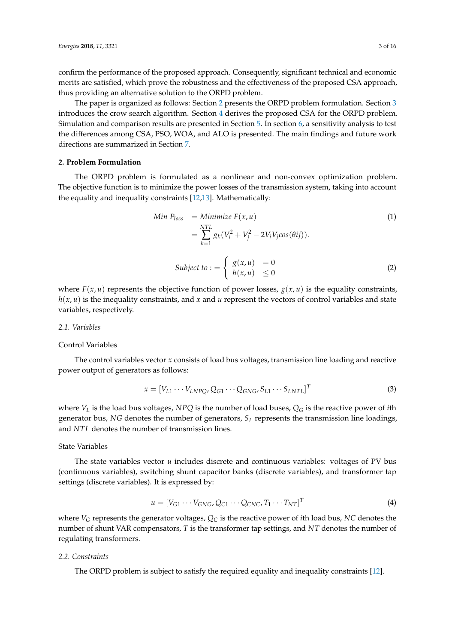confirm the performance of the proposed approach. Consequently, significant technical and economic merits are satisfied, which prove the robustness and the effectiveness of the proposed CSA approach, thus providing an alternative solution to the ORPD problem.

The paper is organized as follows: Section [2](#page-2-0) presents the ORPD problem formulation. Section [3](#page-3-0) introduces the crow search algorithm. Section [4](#page-4-0) derives the proposed CSA for the ORPD problem. Simulation and comparison results are presented in Section [5.](#page-5-0) In section [6,](#page-12-0) a sensitivity analysis to test the differences among CSA, PSO, WOA, and ALO is presented. The main findings and future work directions are summarized in Section [7.](#page-13-4)

#### <span id="page-2-0"></span>**2. Problem Formulation**

The ORPD problem is formulated as a nonlinear and non-convex optimization problem. The objective function is to minimize the power losses of the transmission system, taking into account the equality and inequality constraints [\[12,](#page-14-18)[13\]](#page-14-5). Mathematically:

Min 
$$
P_{loss}
$$
 = Minimize  $F(x, u)$  (1)  
\n
$$
= \sum_{k=1}^{NTL} g_k (V_i^2 + V_j^2 - 2V_i V_j cos(\theta ij)).
$$
\n
$$
Subject to := \begin{cases} g(x, u) = 0 \\ h(x, u) \le 0 \end{cases}
$$
 (2)

where  $F(x, u)$  represents the objective function of power losses,  $g(x, u)$  is the equality constraints, *h*(*x*, *u*) is the inequality constraints, and *x* and *u* represent the vectors of control variables and state variables, respectively.

#### *2.1. Variables*

#### Control Variables

The control variables vector *x* consists of load bus voltages, transmission line loading and reactive power output of generators as follows:

$$
x = [V_{L1} \cdots V_{LNPQ}, Q_{G1} \cdots Q_{GNG}, S_{L1} \cdots S_{LNTL}]^{T}
$$
\n(3)

where *V<sup>L</sup>* is the load bus voltages, *NPQ* is the number of load buses, *Q<sup>G</sup>* is the reactive power of *i*th generator bus, *NG* denotes the number of generators, *S<sup>L</sup>* represents the transmission line loadings, and *NTL* denotes the number of transmission lines.

## State Variables

The state variables vector *u* includes discrete and continuous variables: voltages of PV bus (continuous variables), switching shunt capacitor banks (discrete variables), and transformer tap settings (discrete variables). It is expressed by:

$$
u = [V_{G1} \cdots V_{GNG}, Q_{C1} \cdots Q_{CNC}, T_1 \cdots T_{NT}]^T
$$
\n
$$
(4)
$$

where  $V_G$  represents the generator voltages,  $Q_C$  is the reactive power of *i*th load bus, *NC* denotes the number of shunt VAR compensators, *T* is the transformer tap settings, and *NT* denotes the number of regulating transformers.

### *2.2. Constraints*

The ORPD problem is subject to satisfy the required equality and inequality constraints [\[12\]](#page-14-18).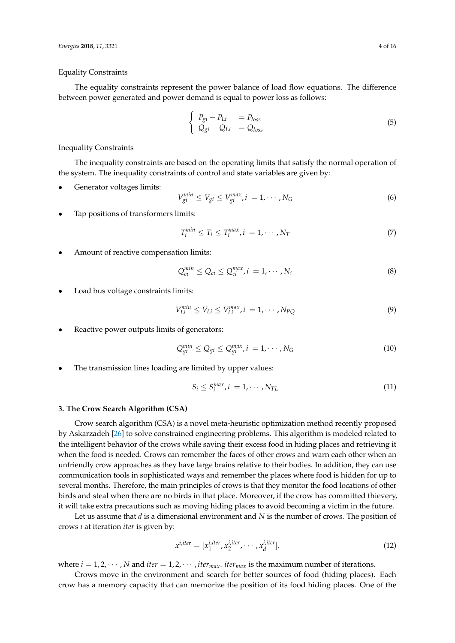#### Equality Constraints

The equality constraints represent the power balance of load flow equations. The difference between power generated and power demand is equal to power loss as follows:

$$
\begin{cases}\nP_{gi} - P_{Li} &= P_{loss} \\
Q_{gi} - Q_{Li} &= Q_{loss}\n\end{cases}
$$
\n(5)

Inequality Constraints

The inequality constraints are based on the operating limits that satisfy the normal operation of the system. The inequality constraints of control and state variables are given by:

Generator voltages limits:

$$
V_{gi}^{min} \le V_{gi} \le V_{gi}^{max}, i = 1, \cdots, N_G
$$
\n
$$
(6)
$$

• Tap positions of transformers limits:

$$
T_i^{min} \le T_i \le T_i^{max}, i = 1, \cdots, N_T
$$
\n<sup>(7)</sup>

• Amount of reactive compensation limits:

$$
Q_{ci}^{min} \le Q_{ci} \le Q_{ci}^{max}, i = 1, \cdots, N_c
$$
\n(8)

Load bus voltage constraints limits:

$$
V_{Li}^{min} \le V_{Li} \le V_{Li}^{max}, i = 1, \cdots, N_{PQ}
$$
\n(9)

Reactive power outputs limits of generators:

$$
Q_{gi}^{min} \le Q_{gi} \le Q_{gi}^{max}, i = 1, \cdots, N_G
$$
 (10)

The transmission lines loading are limited by upper values:

$$
S_i \le S_i^{max}, i = 1, \cdots, N_{TL} \tag{11}
$$

#### <span id="page-3-0"></span>**3. The Crow Search Algorithm (CSA)**

Crow search algorithm (CSA) is a novel meta-heuristic optimization method recently proposed by Askarzadeh [\[26\]](#page-14-19) to solve constrained engineering problems. This algorithm is modeled related to the intelligent behavior of the crows while saving their excess food in hiding places and retrieving it when the food is needed. Crows can remember the faces of other crows and warn each other when an unfriendly crow approaches as they have large brains relative to their bodies. In addition, they can use communication tools in sophisticated ways and remember the places where food is hidden for up to several months. Therefore, the main principles of crows is that they monitor the food locations of other birds and steal when there are no birds in that place. Moreover, if the crow has committed thievery, it will take extra precautions such as moving hiding places to avoid becoming a victim in the future.

Let us assume that *d* is a dimensional environment and *N* is the number of crows. The position of crows *i* at iteration *iter* is given by:

$$
x^{i,iter} = [x_1^{i,iter}, x_2^{i,iter}, \cdots, x_d^{i,iter}].
$$
\n(12)

where  $i = 1, 2, \dots, N$  and  $iter = 1, 2, \dots$ ,  $iter_{max}$ ,  $iter_{max}$  is the maximum number of iterations.

Crows move in the environment and search for better sources of food (hiding places). Each crow has a memory capacity that can memorize the position of its food hiding places. One of the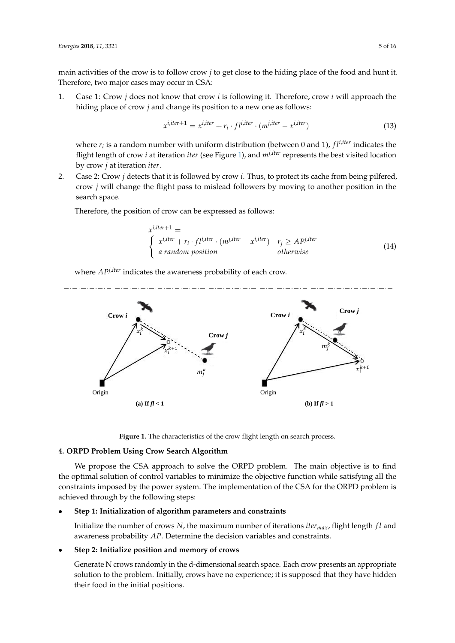main activities of the crow is to follow crow *j* to get close to the hiding place of the food and hunt it. Therefore, two major cases may occur in CSA:

1. Case 1: Crow *j* does not know that crow *i* is following it. Therefore, crow *i* will approach the hiding place of crow *j* and change its position to a new one as follows:

$$
x^{i,iter+1} = x^{i,iter} + r_i \cdot fl^{i,iter} \cdot (m^{j,iter} - x^{i,iter})
$$
\n(13)

where  $r_i$  is a random number with uniform distribution (between 0 and 1),  $fl^{i,iter}$  indicates the flight length of crow *i* at iteration *iter* (see Figure [1\)](#page-4-1), and *mj*,*iter* represents the best visited location by crow *j* at iteration *iter*.

2. Case 2: Crow *j* detects that it is followed by crow *i*. Thus, to protect its cache from being pilfered, crow *j* will change the flight pass to mislead followers by moving to another position in the search space.

Therefore, the position of crow can be expressed as follows:

<span id="page-4-2"></span>
$$
x^{i,iter+1} =
$$
\n
$$
\begin{cases}\n x^{i,iter} + r_i \cdot fl^{i,iter} \cdot (m^{j,iter} - x^{i,iter}) & r_j \geq Ap^{j,iter} \\
 a random position & otherwise\n\end{cases}
$$
\n(14)

where  $AP^{j,iter}$  indicates the awareness probability of each crow.

<span id="page-4-1"></span>

Figure 1. The characteristics of the crow flight length on search process.

## <span id="page-4-0"></span>**4. ORPD Problem Using Crow Search Algorithm**

We propose the CSA approach to solve the ORPD problem. The main objective is to find the optimal solution of control variables to minimize the objective function while satisfying all the constraints imposed by the power system. The implementation of the CSA for the ORPD problem is achieved through by the following steps:

## • **Step 1: Initialization of algorithm parameters and constraints**

Initialize the number of crows *N*, the maximum number of iterations *itermax*, flight length *f l* and awareness probability *AP*. Determine the decision variables and constraints.

## • **Step 2: Initialize position and memory of crows**

Generate N crows randomly in the d-dimensional search space. Each crow presents an appropriate solution to the problem. Initially, crows have no experience; it is supposed that they have hidden their food in the initial positions.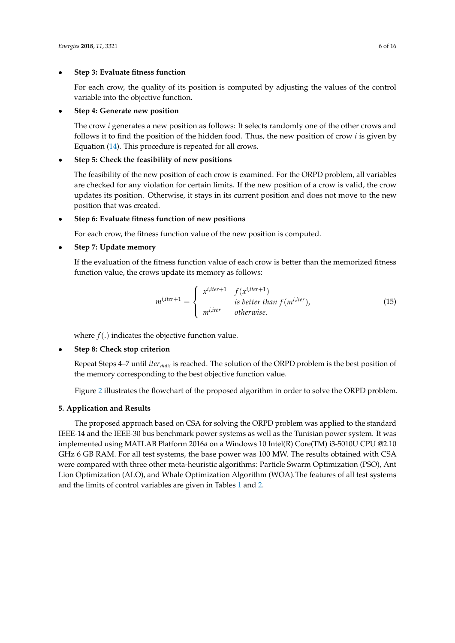## • **Step 3: Evaluate fitness function**

For each crow, the quality of its position is computed by adjusting the values of the control variable into the objective function.

### • **Step 4: Generate new position**

The crow *i* generates a new position as follows: It selects randomly one of the other crows and follows it to find the position of the hidden food. Thus, the new position of crow *i* is given by Equation [\(14\)](#page-4-2). This procedure is repeated for all crows.

## • **Step 5: Check the feasibility of new positions**

The feasibility of the new position of each crow is examined. For the ORPD problem, all variables are checked for any violation for certain limits. If the new position of a crow is valid, the crow updates its position. Otherwise, it stays in its current position and does not move to the new position that was created.

### • **Step 6: Evaluate fitness function of new positions**

For each crow, the fitness function value of the new position is computed.

### • **Step 7: Update memory**

If the evaluation of the fitness function value of each crow is better than the memorized fitness function value, the crows update its memory as follows:

$$
m^{i,iter+1} = \begin{cases} x^{i,iter+1} & f(x^{i,iter+1}) \\ \text{is better than } f(m^{i,iter}), \\ m^{i,iter} & otherwise. \end{cases}
$$
 (15)

where  $f(.)$  indicates the objective function value.

## • **Step 8: Check stop criterion**

Repeat Steps 4–7 until *itermax* is reached. The solution of the ORPD problem is the best position of the memory corresponding to the best objective function value.

Figure [2](#page-6-0) illustrates the flowchart of the proposed algorithm in order to solve the ORPD problem.

## <span id="page-5-0"></span>**5. Application and Results**

The proposed approach based on CSA for solving the ORPD problem was applied to the standard IEEE-14 and the IEEE-30 bus benchmark power systems as well as the Tunisian power system. It was implemented using MATLAB Platform 2016*a* on a Windows 10 Intel(R) Core(TM) i3-5010U CPU @2.10 GHz 6 GB RAM. For all test systems, the base power was 100 MW. The results obtained with CSA were compared with three other meta-heuristic algorithms: Particle Swarm Optimization (PSO), Ant Lion Optimization (ALO), and Whale Optimization Algorithm (WOA).The features of all test systems and the limits of control variables are given in Tables [1](#page-7-0) and [2.](#page-7-1)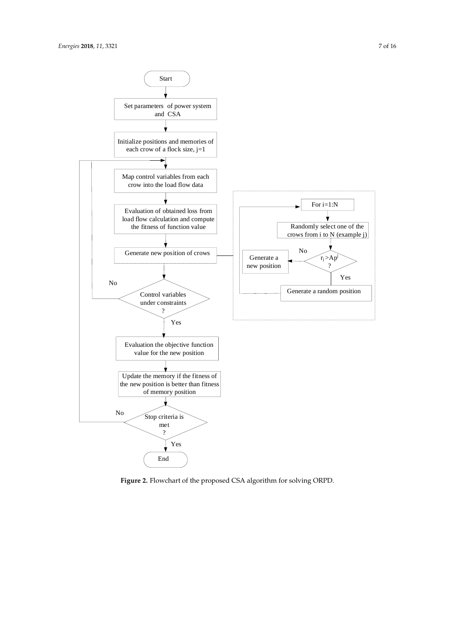<span id="page-6-0"></span>

**Figure 2.** Flowchart of the proposed CSA algorithm for solving ORPD.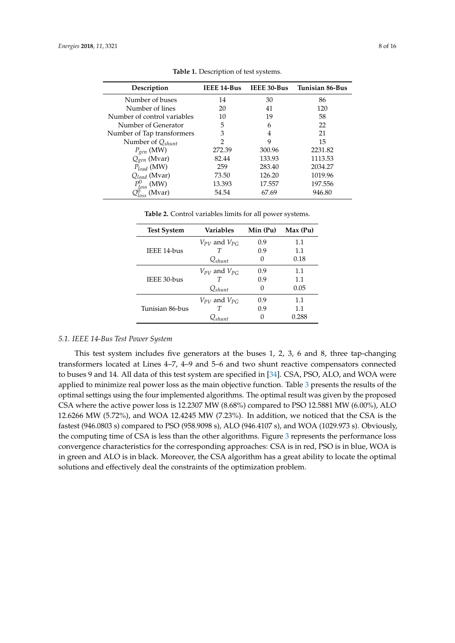<span id="page-7-0"></span>

| Description                         | IEEE 14-Bus   | IEEE 30-Bus | <b>Tunisian 86-Bus</b> |
|-------------------------------------|---------------|-------------|------------------------|
| Number of buses                     | 14            | 30          | 86                     |
| Number of lines                     | 20            | 41          | 120                    |
| Number of control variables         | 10            | 19          | 58                     |
| Number of Generator                 | 5             | 6           | 22                     |
| Number of Tap transformers          | 3             | 4           | 21                     |
| Number of $Q_{shunt}$               | $\mathcal{P}$ | 9           | 15                     |
| $P_{gen}$ (MW)                      | 272.39        | 300.96      | 2231.82                |
| $Q_{gen}$ (Mvar)                    | 82.44         | 133.93      | 1113.53                |
| $P_{load}$ (MW)                     | 259           | 283.40      | 2034.27                |
| $Q_{load}$ (Mvar)                   | 73.50         | 126.20      | 1019.96                |
| $P^0_{loss}$ (MW)<br>$O^0$ . (Myar) | 13.393        | 17.557      | 197.556                |
| (Myar)                              | 54.54         | 67.69       | 946.80                 |

**Table 1.** Description of test systems.

**Table 2.** Control variables limits for all power systems.

<span id="page-7-1"></span>

| <b>Test System</b> | <b>Variables</b>      | Min (Pu) | Max(Pu) |
|--------------------|-----------------------|----------|---------|
|                    | $V_{PV}$ and $V_{PG}$ | 0.9      | 1.1     |
| IEEE 14-bus        |                       | 0.9      | 1.1     |
|                    | $Q_{shunt}$           | 0        | 0.18    |
|                    | $V_{PV}$ and $V_{PC}$ | 0.9      | 1.1     |
| IEEE 30-bus        |                       | 0.9      | 1.1     |
|                    | $Q_{shunt}$           | 0        | 0.05    |
|                    | $V_{PV}$ and $V_{PC}$ | 0.9      | 1.1     |
| Tunisian 86-bus    |                       | 0.9      | 1.1     |
|                    | $\mathcal{Q}_{shunt}$ |          | 0.288   |

#### *5.1. IEEE 14-Bus Test Power System*

This test system includes five generators at the buses 1, 2, 3, 6 and 8, three tap-changing transformers located at Lines 4–7, 4–9 and 5–6 and two shunt reactive compensators connected to buses 9 and 14. All data of this test system are specified in [\[34\]](#page-15-5). CSA, PSO, ALO, and WOA were applied to minimize real power loss as the main objective function. Table [3](#page-8-0) presents the results of the optimal settings using the four implemented algorithms. The optimal result was given by the proposed CSA where the active power loss is 12.2307 MW (8.68%) compared to PSO 12.5881 MW (6.00%), ALO 12.6266 MW (5.72%), and WOA 12.4245 MW (7.23%). In addition, we noticed that the CSA is the fastest (946.0803 s) compared to PSO (958.9098 s), ALO (946.4107 s), and WOA (1029.973 s). Obviously, the computing time of CSA is less than the other algorithms. Figure [3](#page-8-1) represents the performance loss convergence characteristics for the corresponding approaches: CSA is in red, PSO is in blue, WOA is in green and ALO is in black. Moreover, the CSA algorithm has a great ability to locate the optimal solutions and effectively deal the constraints of the optimization problem.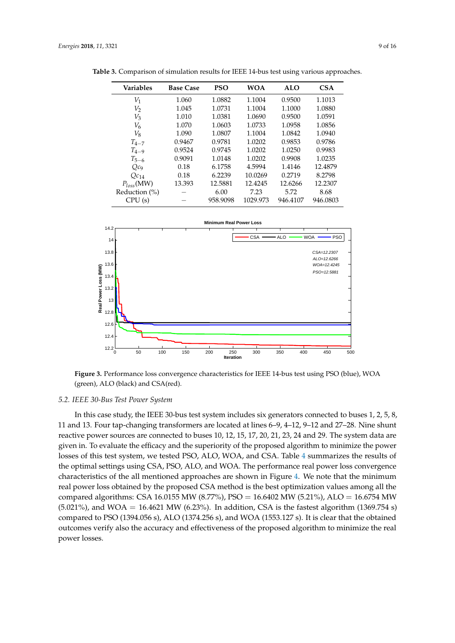| <b>Variables</b> | <b>Base Case</b> | <b>PSO</b> | <b>WOA</b> | <b>ALO</b> | <b>CSA</b> |
|------------------|------------------|------------|------------|------------|------------|
| $V_1$            | 1.060            | 1.0882     | 1.1004     | 0.9500     | 1.1013     |
| $V_2$            | 1.045            | 1.0731     | 1.1004     | 1.1000     | 1.0880     |
| $V_3$            | 1.010            | 1.0381     | 1.0690     | 0.9500     | 1.0591     |
| $V_6$            | 1.070            | 1.0603     | 1.0733     | 1.0958     | 1.0856     |
| $V_8$            | 1.090            | 1.0807     | 1.1004     | 1.0842     | 1.0940     |
| $T_{4-7}$        | 0.9467           | 0.9781     | 1.0202     | 0.9853     | 0.9786     |
| $T_{4-9}$        | 0.9524           | 0.9745     | 1.0202     | 1.0250     | 0.9983     |
| $T_{5-6}$        | 0.9091           | 1.0148     | 1.0202     | 0.9908     | 1.0235     |
| $Qc_{9}$         | 0.18             | 6.1758     | 4.5994     | 1.4146     | 12.4879    |
| $Qc_{14}$        | 0.18             | 6.2239     | 10.0269    | 0.2719     | 8.2798     |
| $P_{loss}(MW)$   | 13.393           | 12.5881    | 12.4245    | 12.6266    | 12.2307    |
| Reduction $(\%)$ |                  | 6.00       | 7.23       | 5.72       | 8.68       |
| CPU(s)           |                  | 958.9098   | 1029.973   | 946.4107   | 946.0803   |

<span id="page-8-0"></span>**Table 3.** Comparison of simulation results for IEEE 14-bus test using various approaches.

<span id="page-8-1"></span>

**Figure 3.** Performance loss convergence characteristics for IEEE 14-bus test using PSO (blue), WOA (green), ALO (black) and CSA(red).

#### *5.2. IEEE 30-Bus Test Power System*

In this case study, the IEEE 30-bus test system includes six generators connected to buses 1, 2, 5, 8, 11 and 13. Four tap-changing transformers are located at lines 6–9, 4–12, 9–12 and 27–28. Nine shunt reactive power sources are connected to buses 10, 12, 15, 17, 20, 21, 23, 24 and 29. The system data are given in. To evaluate the efficacy and the superiority of the proposed algorithm to minimize the power losses of this test system, we tested PSO, ALO, WOA, and CSA. Table [4](#page-9-0) summarizes the results of the optimal settings using CSA, PSO, ALO, and WOA. The performance real power loss convergence characteristics of the all mentioned approaches are shown in Figure [4.](#page-9-1) We note that the minimum real power loss obtained by the proposed CSA method is the best optimization values among all the compared algorithms: CSA 16.0155 MW (8.77%), PSO = 16.6402 MW (5.21%), ALO = 16.6754 MW  $(5.021\%)$ , and WOA = 16.4621 MW  $(6.23\%)$ . In addition, CSA is the fastest algorithm  $(1369.754 \text{ s})$ compared to PSO (1394.056 s), ALO (1374.256 s), and WOA (1553.127 s). It is clear that the obtained outcomes verify also the accuracy and effectiveness of the proposed algorithm to minimize the real power losses.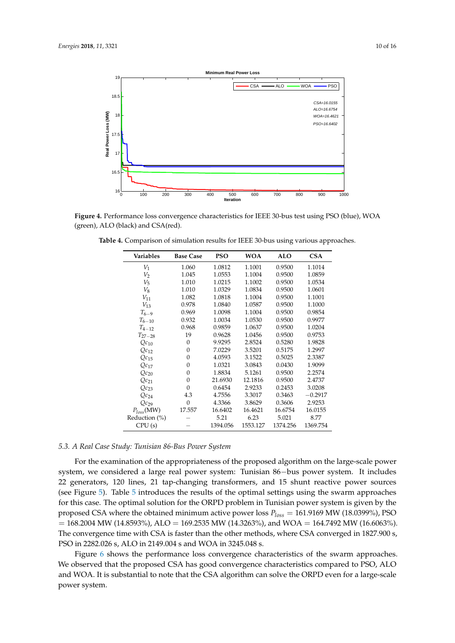<span id="page-9-1"></span>

<span id="page-9-0"></span>**Figure 4.** Performance loss convergence characteristics for IEEE 30-bus test using PSO (blue), WOA (green), ALO (black) and CSA(red).

| Variables        | <b>Base Case</b> | <b>PSO</b> | <b>WOA</b> | <b>ALO</b> | <b>CSA</b> |
|------------------|------------------|------------|------------|------------|------------|
| $V_1$            | 1.060            | 1.0812     | 1.1001     | 0.9500     | 1.1014     |
| $V_2$            | 1.045            | 1.0553     | 1.1004     | 0.9500     | 1.0859     |
| $V_5$            | 1.010            | 1.0215     | 1.1002     | 0.9500     | 1.0534     |
| $V_8$            | 1.010            | 1.0329     | 1.0834     | 0.9500     | 1.0601     |
| $V_{11}$         | 1.082            | 1.0818     | 1.1004     | 0.9500     | 1.1001     |
| $V_{13}$         | 0.978            | 1.0840     | 1.0587     | 0.9500     | 1.1000     |
| $T_{6-9}$        | 0.969            | 1.0098     | 1.1004     | 0.9500     | 0.9854     |
| $T_{6-10}$       | 0.932            | 1.0034     | 1.0530     | 0.9500     | 0.9977     |
| $T_{4-12}$       | 0.968            | 0.9859     | 1.0637     | 0.9500     | 1.0204     |
| $T_{27-28}$      | 19               | 0.9628     | 1.0456     | 0.9500     | 0.9753     |
| $Qc_{10}$        | $\theta$         | 9.9295     | 2.8524     | 0.5280     | 1.9828     |
| $Qc_{12}$        | $\Omega$         | 7.0229     | 3.5201     | 0.5175     | 1.2997     |
| $Qc_{15}$        | $\theta$         | 4.0593     | 3.1522     | 0.5025     | 2.3387     |
| $Qc_{17}$        | $\Omega$         | 1.0321     | 3.0843     | 0.0430     | 1.9099     |
| $Qc_{20}$        | 0                | 1.8834     | 5.1261     | 0.9500     | 2.2574     |
| $Qc_{21}$        | 0                | 21.6930    | 12.1816    | 0.9500     | 2.4737     |
| $Qc_{23}$        | $\theta$         | 0.6454     | 2.9233     | 0.2453     | 3.0208     |
| $Qc_{24}$        | 4.3              | 4.7556     | 3.3017     | 0.3463     | $-0.2917$  |
| $Qc_{29}$        | $\theta$         | 4.3366     | 3.8629     | 0.3606     | 2.9253     |
| $P_{loss}(MW)$   | 17.557           | 16.6402    | 16.4621    | 16.6754    | 16.0155    |
| Reduction $(\%)$ |                  | 5.21       | 6.23       | 5.021      | 8.77       |
| CPU(s)           |                  | 1394.056   | 1553.127   | 1374.256   | 1369.754   |

**Table 4.** Comparison of simulation results for IEEE 30-bus using various approaches.

# *5.3. A Real Case Study: Tunisian 86-Bus Power System*

For the examination of the appropriateness of the proposed algorithm on the large-scale power system, we considered a large real power system: Tunisian 86−bus power system. It includes 22 generators, 120 lines, 21 tap-changing transformers, and 15 shunt reactive power sources (see Figure [5\)](#page-11-0). Table [5](#page-10-0) introduces the results of the optimal settings using the swarm approaches for this case. The optimal solution for the ORPD problem in Tunisian power system is given by the proposed CSA where the obtained minimum active power loss *Ploss* = 161.9169 MW (18.0399%), PSO  $= 168.2004$  MW (14.8593%), ALO = 169.2535 MW (14.3263%), and WOA = 164.7492 MW (16.6063%). The convergence time with CSA is faster than the other methods, where CSA converged in 1827.900 s, PSO in 2282.026 s, ALO in 2149.004 s and WOA in 3245.048 s.

Figure [6](#page-12-1) shows the performance loss convergence characteristics of the swarm approaches. We observed that the proposed CSA has good convergence characteristics compared to PSO, ALO and WOA. It is substantial to note that the CSA algorithm can solve the ORPD even for a large-scale power system.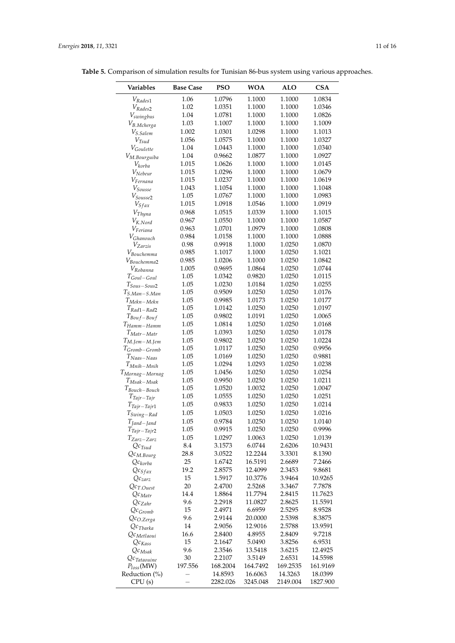| Variables                      | <b>Base Case</b> | <b>PSO</b> | <b>WOA</b> | <b>ALO</b> | <b>CSA</b> |
|--------------------------------|------------------|------------|------------|------------|------------|
| $V_{Rades1}$                   | 1.06             | 1.0796     | 1.1000     | 1.1000     | 1.0834     |
|                                | 1.02             | 1.0351     | 1.1000     | 1.1000     | 1.0346     |
| $V_{Rades2}$                   | 1.04             | 1.0781     | 1.1000     | 1.1000     | 1.0826     |
| $V_{swingbus}$                 | 1.03             | 1.1007     | 1.1000     | 1.1000     | 1.1009     |
| $V_{B. Mcherga}$               | 1.002            | 1.0301     | 1.0298     | 1.1000     | 1.1013     |
| $V_{S.Salem}$                  | 1.056            | 1.0575     | 1.1000     | 1.1000     | 1.0327     |
| $V_{T\!sud}$                   | 1.04             | 1.0443     | 1.1000     | 1.1000     | 1.0340     |
| V <sub>Goulette</sub>          | 1.04             | 0.9662     | 1.0877     | 1.1000     | 1.0927     |
| $V_{M. Bourguiba}$             | 1.015            | 1.0626     | 1.1000     | 1.1000     | 1.0145     |
| $V_{korba}$<br>$V_{Nebeur}$    | 1.015            | 1.0296     | 1.1000     | 1.1000     | 1.0679     |
| $V_{Fernana}$                  | 1.015            | 1.0237     | 1.1000     | 1.1000     | 1.0619     |
| $V_{\text{Sousse}}$            | 1.043            | 1.1054     | 1.1000     | 1.1000     | 1.1048     |
| $V_{\text{Sousse2}}$           | 1.05             | 1.0767     | 1.1000     | 1.1000     | 1.0983     |
| $V_{S\mathfrak{f} a x}$        | 1.015            | 1.0918     | 1.0546     | 1.1000     | 1.0919     |
| $V_{Thyna}$                    | 0.968            | 1.0515     | 1.0339     | 1.1000     | 1.1015     |
| $V_{K.Nord}$                   | 0.967            | 1.0550     | 1.1000     | 1.1000     | 1.0587     |
| $V_{Feriana}$                  | 0.963            | 1.0701     | 1.0979     | 1.1000     | 1.0808     |
|                                | 0.984            | 1.0158     | 1.1000     | 1.1000     | 1.0888     |
| $V_{Ghanouch}$<br>$V_{Zarzis}$ | 0.98             | 0.9918     | 1.1000     | 1.0250     | 1.0870     |
| $V_{Bouchemma}$                | 0.985            | 1.1017     | 1.1000     | 1.0250     | 1.1021     |
| $V_{Bouchemma2}$               | 0.985            | 1.0206     | 1.1000     | 1.0250     | 1.0842     |
| $V_{Robanna}$                  | 1.005            | 0.9695     | 1.0864     | 1.0250     | 1.0744     |
| $T_{Goul-Goul}$                | 1.05             | 1.0342     | 0.9820     | 1.0250     | 1.0115     |
| $T_{\text{Sous}-\text{Sous2}}$ | 1.05             | 1.0230     | 1.0184     | 1.0250     | 1.0255     |
| $T_{S. Man-S.Man}$             | 1.05             | 0.9509     | 1.0250     | 1.0250     | 1.0176     |
| $T_{Mekn-Mekn}$                | 1.05             | 0.9985     | 1.0173     | 1.0250     | 1.0177     |
| $T_{Rad1-Rad2}$                | 1.05             | 1.0142     | 1.0250     | 1.0250     | 1.0197     |
| $T_{Boul-f-Boulf}$             | 1.05             | 0.9802     | 1.0191     | 1.0250     | 1.0065     |
| $T_{Hamm-Hamm}$                | 1.05             | 1.0814     | 1.0250     | 1.0250     | 1.0168     |
| $T_{Matr-Matr}$                | 1.05             | 1.0393     | 1.0250     | 1.0250     | 1.0178     |
| $T_{M.Iem-M.Jem}$              | 1.05             | 0.9802     | 1.0250     | 1.0250     | 1.0224     |
| $T_{Gromb-Gromb}$              | 1.05             | 1.0117     | 1.0250     | 1.0250     | 0.9956     |
| $T_{Naas-Naas}$                | 1.05             | 1.0169     | 1.0250     | 1.0250     | 0.9881     |
| $T_{Mnih-Mnih}$                | 1.05             | 1.0294     | 1.0293     | 1.0250     | 1.0238     |
| T <sub>Mornag</sub> -Mornag    | 1.05             | 1.0456     | 1.0250     | 1.0250     | 1.0254     |
| $T_{Msak-Msak}$                | 1.05             | 0.9950     | 1.0250     | 1.0250     | 1.0211     |
| $T_{Bouch-Bouch}$              | 1.05             | 1.0520     | 1.0032     | 1.0250     | 1.0047     |
| $T_{Tajr-Tajr}$                | 1.05             | 1.0555     | 1.0250     | 1.0250     | 1.0251     |
| $T_{Tajr-Tajr1}$               | 1.05             | 0.9833     | 1.0250     | 1.0250     | 1.0214     |
| $T_{Swing-Rad}$                | 1.05             | 1.0503     | 1.0250     | 1.0250     | 1.0216     |
| $T_{Jand-Jand}$                | $1.05\,$         | 0.9784     | 1.0250     | 1.0250     | 1.0140     |
| $T_{Tajr-Tajr2}$               | 1.05             | 0.9915     | 1.0250     | 1.0250     | 0.9996     |
| $T_{Zarz-Zarz}$                | 1.05             | 1.0297     | 1.0063     | 1.0250     | 1.0139     |
| $Qc_{Tsud}$                    | 8.4              | 3.1573     | 6.0744     | 2.6206     | 10.9431    |
| $Qc_{M.Bourg}$                 | 28.8             | 3.0522     | 12.2244    | 3.3301     | 8.1390     |
| $Qc_{korba}$                   | 25               | 1.6742     | 16.5191    | 2.6689     | 7.2466     |
| $Qc_{Sfax}$                    | 19.2             | 2.8575     | 12.4099    | 2.3453     | 9.8681     |
| $Qc_{zarz}$                    | 15               | 1.5917     | 10.3776    | 3.9464     | 10.9265    |
| $Qc_{T.Ouest}$                 | 20               | 2.4700     | 2.5268     | 3.3467     | 7.7878     |
| $Qc_{Matr}$                    | 14.4             | 1.8864     | 11.7794    | 2.8415     | 11.7623    |
| $Qc_{Zahr}$                    | 9.6              | 2.2918     | 11.0827    | 2.8625     | 11.5591    |
| $Qc_{Gromb}$                   | 15               | 2.4971     | 6.6959     | 2.5295     | 8.9528     |
| $Qc_{O,Zerga}$                 | 9.6              | 2.9144     | 20.0000    | 2.5398     | 8.3875     |
| $Qc_{Tbarka}$                  | 14               | 2.9056     | 12.9016    | 2.5788     | 13.9591    |
| $Qc_{Metlaoui}$                | 16.6             | 2.8400     | 4.8955     | 2.8409     | 9.7218     |
| $Qc_{Kass}$                    | 15               | 2.1647     | 5.0490     | 3.8256     | 6.9531     |
| $Qc_{Msak}$                    | 9.6              | 2.3546     | 13.5418    | 3.6215     | 12.4925    |
| $Qc_{Tataouine}$               | $30\,$           | 2.2107     | 3.5149     | 2.6531     | 14.5598    |
| $P_{loss}$ (MW)                | 197.556          | 168.2004   | 164.7492   | 169.2535   | 161.9169   |
| Reduction (%)                  |                  | 14.8593    | 16.6063    | 14.3263    | 18.0399    |
| CPU(s)                         |                  | 2282.026   | 3245.048   | 2149.004   | 1827.900   |

<span id="page-10-0"></span>**Table 5.** Comparison of simulation results for Tunisian 86-bus system using various approaches.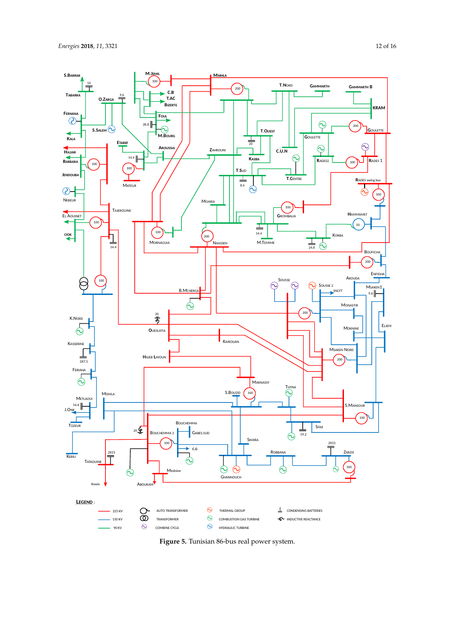<span id="page-11-0"></span>

**Figure 5.** Tunisian 86-bus real power system.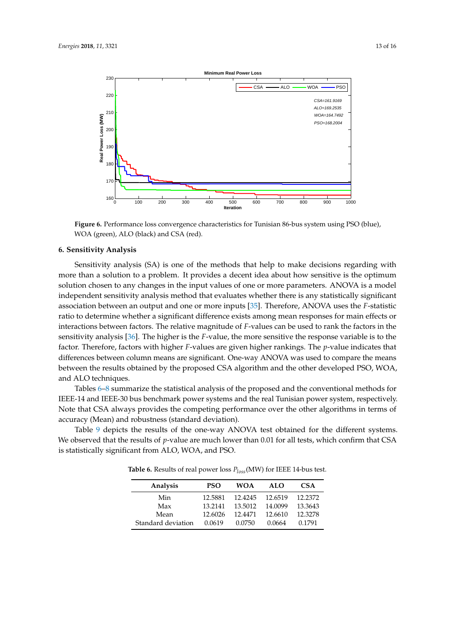<span id="page-12-1"></span>

**Figure 6.** Performance loss convergence characteristics for Tunisian 86-bus system using PSO (blue), WOA (green), ALO (black) and CSA (red).

#### <span id="page-12-0"></span>**6. Sensitivity Analysis**

Sensitivity analysis (SA) is one of the methods that help to make decisions regarding with more than a solution to a problem. It provides a decent idea about how sensitive is the optimum solution chosen to any changes in the input values of one or more parameters. ANOVA is a model independent sensitivity analysis method that evaluates whether there is any statistically significant association between an output and one or more inputs [\[35\]](#page-15-6). Therefore, ANOVA uses the *F*-statistic ratio to determine whether a significant difference exists among mean responses for main effects or interactions between factors. The relative magnitude of *F*-values can be used to rank the factors in the sensitivity analysis [\[36\]](#page-15-7). The higher is the *F*-value, the more sensitive the response variable is to the factor. Therefore, factors with higher *F*-values are given higher rankings. The *p*-value indicates that differences between column means are significant. One-way ANOVA was used to compare the means between the results obtained by the proposed CSA algorithm and the other developed PSO, WOA, and ALO techniques.

Tables [6](#page-12-2)[–8](#page-13-5) summarize the statistical analysis of the proposed and the conventional methods for IEEE-14 and IEEE-30 bus benchmark power systems and the real Tunisian power system, respectively. Note that CSA always provides the competing performance over the other algorithms in terms of accuracy (Mean) and robustness (standard deviation).

<span id="page-12-2"></span>Table [9](#page-13-6) depicts the results of the one-way ANOVA test obtained for the different systems. We observed that the results of *p*-value are much lower than 0.01 for all tests, which confirm that CSA is statistically significant from ALO, WOA, and PSO.

| Analysis           | <b>PSO</b> | <b>WOA</b> | ALO     | <b>CSA</b> |
|--------------------|------------|------------|---------|------------|
| Min                | 12.5881    | 12.4245    | 12.6519 | 12.2372    |
| Max                | 13.2141    | 13.5012    | 14.0099 | 13.3643    |
| Mean               | 12.6026    | 12.4471    | 12.6610 | 12.3278    |
| Standard deviation | 0.0619     | 0.0750     | 0.0664  | 0.1791     |

**Table 6.** Results of real power loss *Ploss*(MW) for IEEE 14-bus test.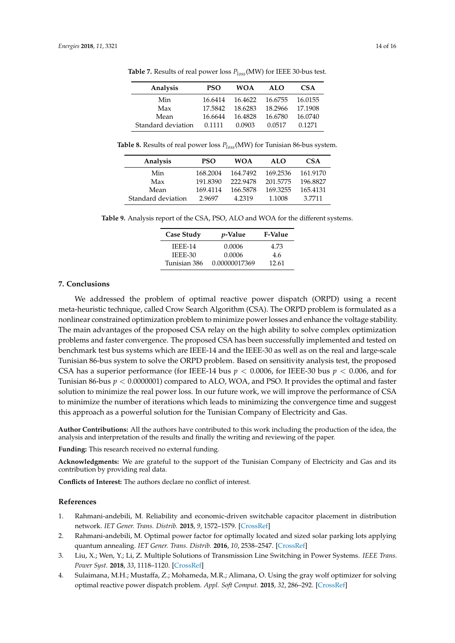| Analysis           | <b>PSO</b> | <b>WOA</b> | ALO     | CSA     |
|--------------------|------------|------------|---------|---------|
| Min                | 16.6414    | 16.4622    | 16.6755 | 16.0155 |
| Max                | 17.5842    | 18.6283    | 18.2966 | 17.1908 |
| Mean               | 16.6644    | 16.4828    | 16.6780 | 16.0740 |
| Standard deviation | 0.1111     | 0.0903     | 0.0517  | 0.1271  |

**Table 7.** Results of real power loss *Ploss*(MW) for IEEE 30-bus test.

<span id="page-13-5"></span>**Table 8.** Results of real power loss *Ploss*(MW) for Tunisian 86-bus system.

| Analysis           | <b>PSO</b> | <b>WOA</b> | ALO      | <b>CSA</b> |
|--------------------|------------|------------|----------|------------|
| Min                | 168.2004   | 164.7492   | 169.2536 | 161.9170   |
| Max                | 191.8390   | 222.9478   | 201.5775 | 196.8827   |
| Mean               | 169.4114   | 166.5878   | 169.3255 | 165.4131   |
| Standard deviation | 2.9697     | 4.2319     | 1.1008   | 3.7711     |

<span id="page-13-6"></span>**Table 9.** Analysis report of the CSA, PSO, ALO and WOA for the different systems.

| <b>Case Study</b> | <i>p</i> -Value | <b>F-Value</b> |
|-------------------|-----------------|----------------|
| <b>IEEE-14</b>    | 0.0006          | 4.73           |
| IEEE-30           | 0.0006          | 4.6            |
| Tunisian 386      | 0.00000017369   | 12.61          |

#### <span id="page-13-4"></span>**7. Conclusions**

We addressed the problem of optimal reactive power dispatch (ORPD) using a recent meta-heuristic technique, called Crow Search Algorithm (CSA). The ORPD problem is formulated as a nonlinear constrained optimization problem to minimize power losses and enhance the voltage stability. The main advantages of the proposed CSA relay on the high ability to solve complex optimization problems and faster convergence. The proposed CSA has been successfully implemented and tested on benchmark test bus systems which are IEEE-14 and the IEEE-30 as well as on the real and large-scale Tunisian 86-bus system to solve the ORPD problem. Based on sensitivity analysis test, the proposed CSA has a superior performance (for IEEE-14 bus *p* < 0.0006, for IEEE-30 bus *p* < 0.006, and for Tunisian 86-bus *p* < 0.0000001) compared to ALO, WOA, and PSO. It provides the optimal and faster solution to minimize the real power loss. In our future work, we will improve the performance of CSA to minimize the number of iterations which leads to minimizing the convergence time and suggest this approach as a powerful solution for the Tunisian Company of Electricity and Gas.

**Author Contributions:** All the authors have contributed to this work including the production of the idea, the analysis and interpretation of the results and finally the writing and reviewing of the paper.

**Funding:** This research received no external funding.

**Acknowledgments:** We are grateful to the support of the Tunisian Company of Electricity and Gas and its contribution by providing real data.

**Conflicts of Interest:** The authors declare no conflict of interest.

#### **References**

- <span id="page-13-0"></span>1. Rahmani-andebili, M. Reliability and economic-driven switchable capacitor placement in distribution network. *IET Gener. Trans. Distrib.* **2015**, *9*, 1572–1579. [\[CrossRef\]](http://dx.doi.org/10.1049/iet-gtd.2015.0359)
- <span id="page-13-1"></span>2. Rahmani-andebili, M. Optimal power factor for optimally located and sized solar parking lots applying quantum annealing. *IET Gener. Trans. Distrib.* **2016**, *10*, 2538–2547. [\[CrossRef\]](http://dx.doi.org/10.1049/iet-gtd.2015.1553)
- <span id="page-13-2"></span>3. Liu, X.; Wen, Y.; Li, Z. Multiple Solutions of Transmission Line Switching in Power Systems. *IEEE Trans. Power Syst.* **2018**, *33*, 1118–1120. [\[CrossRef\]](http://dx.doi.org/10.1109/TPWRS.2017.2770019)
- <span id="page-13-3"></span>4. Sulaimana, M.H.; Mustaffa, Z.; Mohameda, M.R.; Alimana, O. Using the gray wolf optimizer for solving optimal reactive power dispatch problem. *Appl. Soft Comput.* **2015**, *32*, 286–292. [\[CrossRef\]](http://dx.doi.org/10.1016/j.asoc.2015.03.041)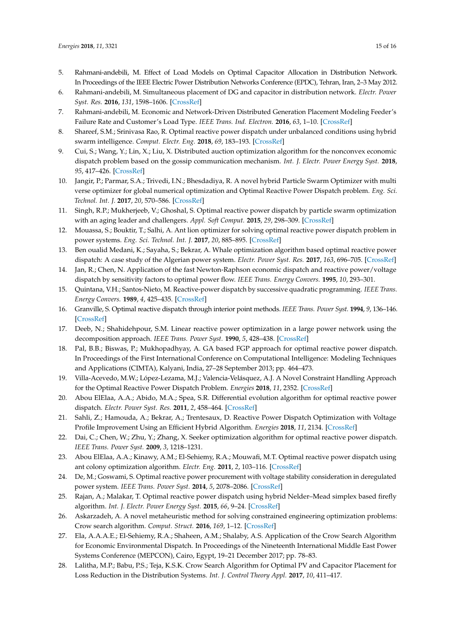- <span id="page-14-0"></span>5. Rahmani-andebili, M. Effect of Load Models on Optimal Capacitor Allocation in Distribution Network. In Proceedings of the IEEE Electric Power Distribution Networks Conference (EPDC), Tehran, Iran, 2–3 May 2012.
- 6. Rahmani-andebili, M. Simultaneous placement of DG and capacitor in distribution network. *Electr. Power Syst. Res.* **2016**, *131*, 1598–1606. [\[CrossRef\]](http://dx.doi.org/10.1016/j.epsr.2015.09.014)
- <span id="page-14-1"></span>7. Rahmani-andebili, M. Economic and Network-Driven Distributed Generation Placement Modeling Feeder's Failure Rate and Customer's Load Type. *IEEE Trans. Ind. Electron.* **2016**, *63*, 1–10. [\[CrossRef\]](http://dx.doi.org/10.1109/TIE.2015.2498902)
- <span id="page-14-2"></span>8. Shareef, S.M.; Srinivasa Rao, R. Optimal reactive power dispatch under unbalanced conditions using hybrid swarm intelligence. *Comput. Electr. Eng.* **2018**, *69*, 183–193. [\[CrossRef\]](http://dx.doi.org/10.1016/j.compeleceng.2018.05.011)
- 9. Cui, S.; Wang, Y.; Lin, X.; Liu, X. Distributed auction optimization algorithm for the nonconvex economic dispatch problem based on the gossip communication mechanism. *Int. J. Electr. Power Energy Syst.* **2018**, *95*, 417–426. [\[CrossRef\]](http://dx.doi.org/10.1016/j.ijepes.2017.09.012)
- <span id="page-14-3"></span>10. Jangir, P.; Parmar, S.A.; Trivedi, I.N.; Bhesdadiya, R. A novel hybrid Particle Swarm Optimizer with multi verse optimizer for global numerical optimization and Optimal Reactive Power Dispatch problem. *Eng. Sci. Technol. Int. J.* **2017**, *20*, 570–586. [\[CrossRef\]](http://dx.doi.org/10.1016/j.jestch.2016.10.007)
- <span id="page-14-4"></span>11. Singh, R.P.; Mukherjeeb, V.; Ghoshal, S. Optimal reactive power dispatch by particle swarm optimization with an aging leader and challengers. *Appl. Soft Comput.* **2015**, *29*, 298–309. [\[CrossRef\]](http://dx.doi.org/10.1016/j.asoc.2015.01.006)
- <span id="page-14-18"></span>12. Mouassa, S.; Bouktir, T.; Salhi, A. Ant lion optimizer for solving optimal reactive power dispatch problem in power systems. *Eng. Sci. Technol. Int. J.* **2017**, *20*, 885–895. [\[CrossRef\]](http://dx.doi.org/10.1016/j.jestch.2017.03.006)
- <span id="page-14-5"></span>13. Ben oualid Medani, K.; Sayaha, S.; Bekrar, A. Whale optimization algorithm based optimal reactive power dispatch: A case study of the Algerian power system. *Electr. Power Syst. Res.* **2017**, *163*, 696–705. [\[CrossRef\]](http://dx.doi.org/10.1016/j.epsr.2017.09.001)
- <span id="page-14-6"></span>14. Jan, R.; Chen, N. Application of the fast Newton-Raphson economic dispatch and reactive power/voltage dispatch by sensitivity factors to optimal power flow. *IEEE Trans. Energy Convers.* **1995**, *10*, 293–301.
- <span id="page-14-7"></span>15. Quintana, V.H.; Santos-Nieto, M. Reactive-power dispatch by successive quadratic programming. *IEEE Trans. Energy Convers.* **1989**, *4*, 425–435. [\[CrossRef\]](http://dx.doi.org/10.1109/60.43245)
- <span id="page-14-8"></span>16. Granville, S. Optimal reactive dispatch through interior point methods. *IEEE Trans. Power Syst.* **1994**, *9*, 136–146. [\[CrossRef\]](http://dx.doi.org/10.1109/59.317548)
- <span id="page-14-9"></span>17. Deeb, N.; Shahidehpour, S.M. Linear reactive power optimization in a large power network using the decomposition approach. *IEEE Trans. Power Syst.* **1990**, *5*, 428–438. [\[CrossRef\]](http://dx.doi.org/10.1109/59.54549)
- <span id="page-14-10"></span>18. Pal, B.B.; Biswas, P.; Mukhopadhyay, A. GA based FGP approach for optimal reactive power dispatch. In Proceedings of the First International Conference on Computational Intelligence: Modeling Techniques and Applications (CIMTA), Kalyani, India, 27–28 September 2013; pp. 464–473.
- <span id="page-14-11"></span>19. Villa-Acevedo, M.W.; López-Lezama, M.J.; Valencia-Velásquez, A.J. A Novel Constraint Handling Approach for the Optimal Reactive Power Dispatch Problem. *Energies* **2018**, *11*, 2352. [\[CrossRef\]](http://dx.doi.org/10.3390/en11092352)
- <span id="page-14-12"></span>20. Abou ElElaa, A.A.; Abido, M.A.; Spea, S.R. Differential evolution algorithm for optimal reactive power dispatch. *Electr. Power Syst. Res.* **2011**, *2*, 458–464. [\[CrossRef\]](http://dx.doi.org/10.1016/j.epsr.2010.10.005)
- <span id="page-14-13"></span>21. Sahli, Z.; Hamouda, A.; Bekrar, A.; Trentesaux, D. Reactive Power Dispatch Optimization with Voltage Profile Improvement Using an Efficient Hybrid Algorithm. *Energies* **2018**, *11*, 2134. [\[CrossRef\]](http://dx.doi.org/10.3390/en11082134)
- <span id="page-14-14"></span>22. Dai, C.; Chen, W.; Zhu, Y.; Zhang, X. Seeker optimization algorithm for optimal reactive power dispatch. *IEEE Trans. Power Syst.* **2009**, *3*, 1218–1231.
- <span id="page-14-15"></span>23. Abou ElElaa, A.A.; Kinawy, A.M.; El-Sehiemy, R.A.; Mouwafi, M.T. Optimal reactive power dispatch using ant colony optimization algorithm. *Electr. Eng.* **2011**, *2*, 103–116. [\[CrossRef\]](http://dx.doi.org/10.1007/s00202-011-0196-4)
- <span id="page-14-16"></span>24. De, M.; Goswami, S. Optimal reactive power procurement with voltage stability consideration in deregulated power system. *IEEE Trans. Power Syst.* **2014**, *5*, 2078–2086. [\[CrossRef\]](http://dx.doi.org/10.1109/TPWRS.2014.2308304)
- <span id="page-14-17"></span>25. Rajan, A.; Malakar, T. Optimal reactive power dispatch using hybrid Nelder–Mead simplex based firefly algorithm. *Int. J. Electr. Power Energy Syst.* **2015**, *66*, 9–24. [\[CrossRef\]](http://dx.doi.org/10.1016/j.ijepes.2014.10.041)
- <span id="page-14-19"></span>26. Askarzadeh, A. A novel metaheuristic method for solving constrained engineering optimization problems: Crow search algorithm. *Comput. Struct.* **2016**, *169*, 1–12. [\[CrossRef\]](http://dx.doi.org/10.1016/j.compstruc.2016.03.001)
- <span id="page-14-20"></span>27. Ela, A.A.A.E.; El-Sehiemy, R.A.; Shaheen, A.M.; Shalaby, A.S. Application of the Crow Search Algorithm for Economic Environmental Dispatch. In Proceedings of the Nineteenth International Middle East Power Systems Conference (MEPCON), Cairo, Egypt, 19–21 December 2017; pp. 78–83.
- <span id="page-14-21"></span>28. Lalitha, M.P.; Babu, P.S.; Teja, K.S.K. Crow Search Algorithm for Optimal PV and Capacitor Placement for Loss Reduction in the Distribution Systems. *Int. J. Control Theory Appl.* **2017**, *10*, 411–417.